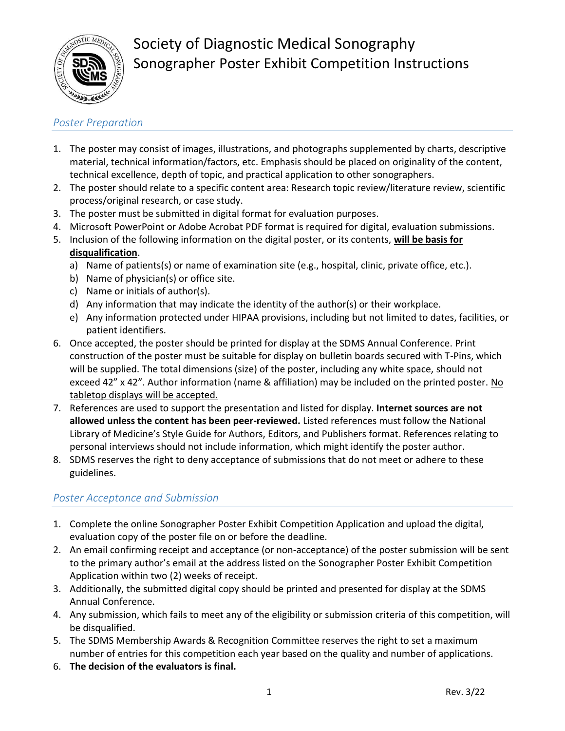

### *Poster Preparation*

- 1. The poster may consist of images, illustrations, and photographs supplemented by charts, descriptive material, technical information/factors, etc. Emphasis should be placed on originality of the content, technical excellence, depth of topic, and practical application to other sonographers.
- 2. The poster should relate to a specific content area: Research topic review/literature review, scientific process/original research, or case study.
- 3. The poster must be submitted in digital format for evaluation purposes.
- 4. Microsoft PowerPoint or Adobe Acrobat PDF format is required for digital, evaluation submissions.
- 5. Inclusion of the following information on the digital poster, or its contents, **will be basis for disqualification**.
	- a) Name of patients(s) or name of examination site (e.g., hospital, clinic, private office, etc.).
	- b) Name of physician(s) or office site.
	- c) Name or initials of author(s).
	- d) Any information that may indicate the identity of the author(s) or their workplace.
	- e) Any information protected under HIPAA provisions, including but not limited to dates, facilities, or patient identifiers.
- 6. Once accepted, the poster should be printed for display at the SDMS Annual Conference. Print construction of the poster must be suitable for display on bulletin boards secured with T-Pins, which will be supplied. The total dimensions (size) of the poster, including any white space, should not exceed 42" x 42". Author information (name & affiliation) may be included on the printed poster. No tabletop displays will be accepted.
- 7. References are used to support the presentation and listed for display. **Internet sources are not allowed unless the content has been peer-reviewed.** Listed references must follow the National Library of Medicine's Style Guide for Authors, Editors, and Publishers format. References relating to personal interviews should not include information, which might identify the poster author.
- 8. SDMS reserves the right to deny acceptance of submissions that do not meet or adhere to these guidelines.

### *Poster Acceptance and Submission*

- 1. Complete the online Sonographer Poster Exhibit Competition Application and upload the digital, evaluation copy of the poster file on or before the deadline.
- 2. An email confirming receipt and acceptance (or non-acceptance) of the poster submission will be sent to the primary author's email at the address listed on the Sonographer Poster Exhibit Competition Application within two (2) weeks of receipt.
- 3. Additionally, the submitted digital copy should be printed and presented for display at the SDMS Annual Conference.
- 4. Any submission, which fails to meet any of the eligibility or submission criteria of this competition, will be disqualified.
- 5. The SDMS Membership Awards & Recognition Committee reserves the right to set a maximum number of entries for this competition each year based on the quality and number of applications.
- 6. **The decision of the evaluators is final.**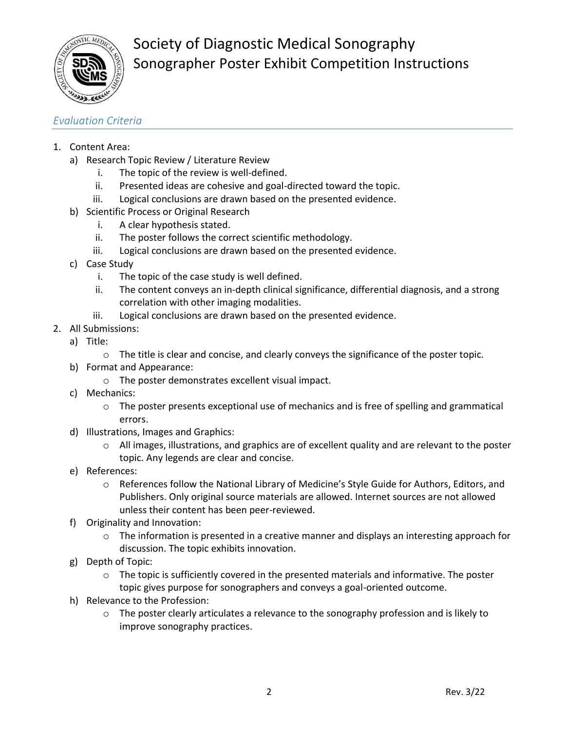

Society of Diagnostic Medical Sonography Sonographer Poster Exhibit Competition Instructions

#### *Evaluation Criteria*

- 1. Content Area:
	- a) Research Topic Review / Literature Review
		- i. The topic of the review is well-defined.
		- ii. Presented ideas are cohesive and goal-directed toward the topic.
		- iii. Logical conclusions are drawn based on the presented evidence.
	- b) Scientific Process or Original Research
		- i. A clear hypothesis stated.
		- ii. The poster follows the correct scientific methodology.
		- iii. Logical conclusions are drawn based on the presented evidence.
	- c) Case Study
		- i. The topic of the case study is well defined.
		- ii. The content conveys an in-depth clinical significance, differential diagnosis, and a strong correlation with other imaging modalities.
		- iii. Logical conclusions are drawn based on the presented evidence.
- 2. All Submissions:
	- a) Title:
		- o The title is clear and concise, and clearly conveys the significance of the poster topic.
	- b) Format and Appearance:
		- o The poster demonstrates excellent visual impact.
	- c) Mechanics:
		- o The poster presents exceptional use of mechanics and is free of spelling and grammatical errors.
	- d) Illustrations, Images and Graphics:
		- o All images, illustrations, and graphics are of excellent quality and are relevant to the poster topic. Any legends are clear and concise.
	- e) References:
		- $\circ$  References follow the National Library of Medicine's Style Guide for Authors, Editors, and Publishers. Only original source materials are allowed. Internet sources are not allowed unless their content has been peer-reviewed.
	- f) Originality and Innovation:
		- $\circ$  The information is presented in a creative manner and displays an interesting approach for discussion. The topic exhibits innovation.
	- g) Depth of Topic:
		- $\circ$  The topic is sufficiently covered in the presented materials and informative. The poster topic gives purpose for sonographers and conveys a goal-oriented outcome.
	- h) Relevance to the Profession:
		- $\circ$  The poster clearly articulates a relevance to the sonography profession and is likely to improve sonography practices.